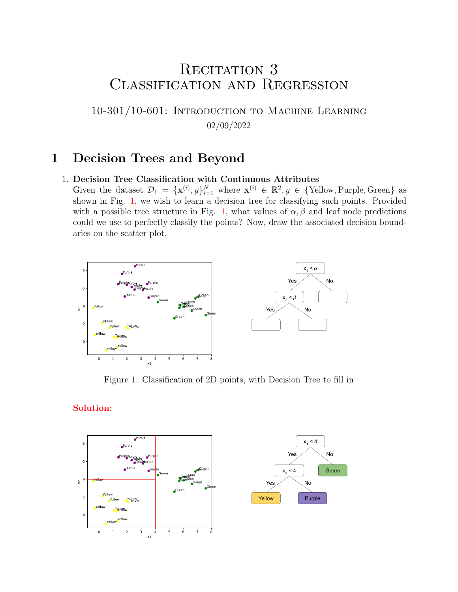# RECITATION 3 Classification and Regression

10-301/10-601: Introduction to Machine Learning 02/09/2022

### 1 Decision Trees and Beyond

#### 1. Decision Tree Classification with Continuous Attributes

Given the dataset  $\mathcal{D}_1 = {\mathbf{x}^{(i)}, y}_{i=1}^N$  where  $\mathbf{x}^{(i)} \in \mathbb{R}^2, y \in {\text{Yellow, purple, Green}}$  as shown in Fig. [1,](#page-0-0) we wish to learn a decision tree for classifying such points. Provided with a possible tree structure in Fig. [1,](#page-0-0) what values of  $\alpha, \beta$  and leaf node predictions could we use to perfectly classify the points? Now, draw the associated decision boundaries on the scatter plot.

<span id="page-0-0"></span>

Figure 1: Classification of 2D points, with Decision Tree to fill in

#### Solution:



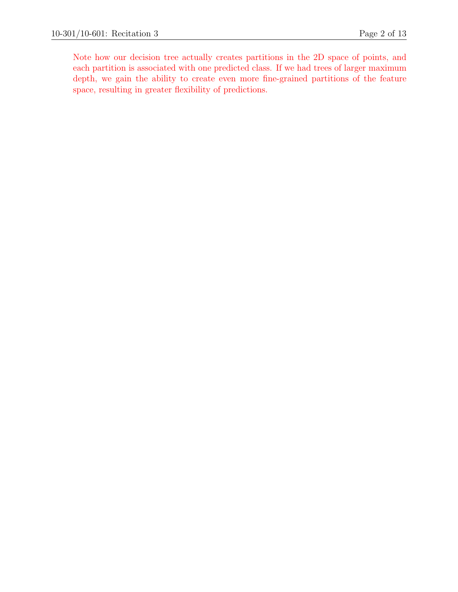Note how our decision tree actually creates partitions in the 2D space of points, and each partition is associated with one predicted class. If we had trees of larger maximum depth, we gain the ability to create even more fine-grained partitions of the feature space, resulting in greater flexibility of predictions.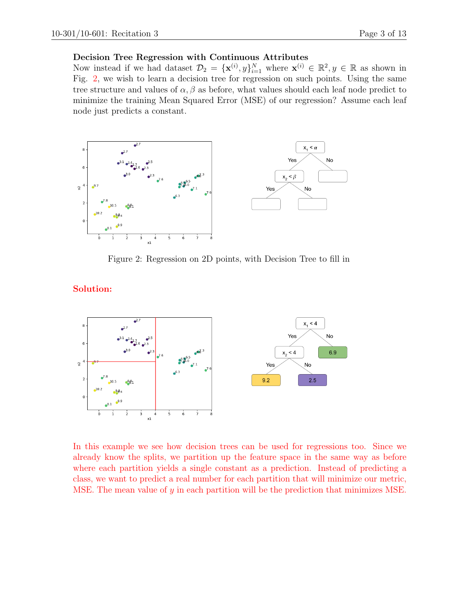#### Decision Tree Regression with Continuous Attributes

Now instead if we had dataset  $\mathcal{D}_2 = {\{\mathbf{x}^{(i)}, y\}}_{i=1}^N$  where  $\mathbf{x}^{(i)} \in \mathbb{R}^2, y \in \mathbb{R}$  as shown in Fig. [2,](#page-2-0) we wish to learn a decision tree for regression on such points. Using the same tree structure and values of  $\alpha$ ,  $\beta$  as before, what values should each leaf node predict to minimize the training Mean Squared Error (MSE) of our regression? Assume each leaf node just predicts a constant.

<span id="page-2-0"></span>

Figure 2: Regression on 2D points, with Decision Tree to fill in

#### Solution:



In this example we see how decision trees can be used for regressions too. Since we already know the splits, we partition up the feature space in the same way as before where each partition yields a single constant as a prediction. Instead of predicting a class, we want to predict a real number for each partition that will minimize our metric, MSE. The mean value of  $y$  in each partition will be the prediction that minimizes MSE.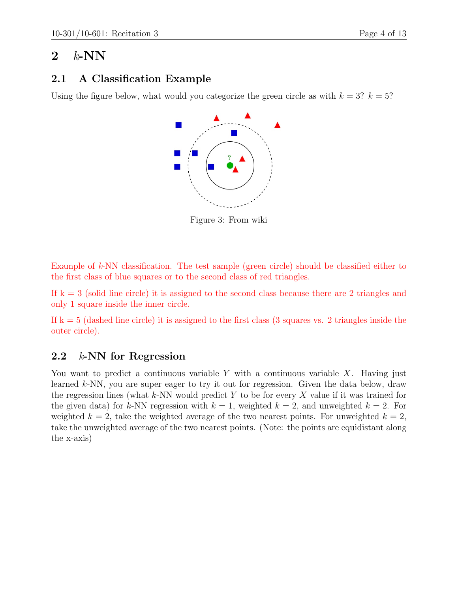## 2  $k$ -NN

#### 2.1 A Classification Example

Using the figure below, what would you categorize the green circle as with  $k = 3$ ?  $k = 5$ ?



Figure 3: From wiki

Example of  $k$ -NN classification. The test sample (green circle) should be classified either to the first class of blue squares or to the second class of red triangles.

If  $k = 3$  (solid line circle) it is assigned to the second class because there are 2 triangles and only 1 square inside the inner circle.

If  $k = 5$  (dashed line circle) it is assigned to the first class (3 squares vs. 2 triangles inside the outer circle).

#### 2.2  $k$ -NN for Regression

You want to predict a continuous variable Y with a continuous variable X. Having just learned  $k$ -NN, you are super eager to try it out for regression. Given the data below, draw the regression lines (what  $k$ -NN would predict Y to be for every X value if it was trained for the given data) for k-NN regression with  $k = 1$ , weighted  $k = 2$ , and unweighted  $k = 2$ . For weighted  $k = 2$ , take the weighted average of the two nearest points. For unweighted  $k = 2$ , take the unweighted average of the two nearest points. (Note: the points are equidistant along the x-axis)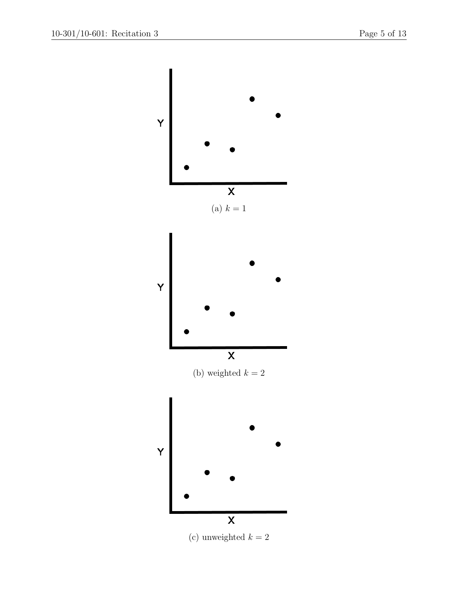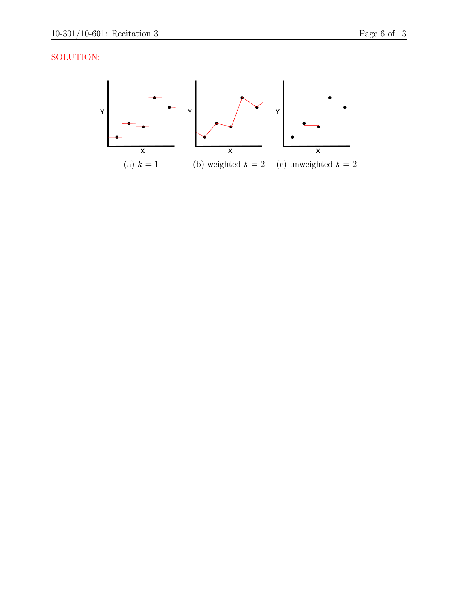### SOLUTION:

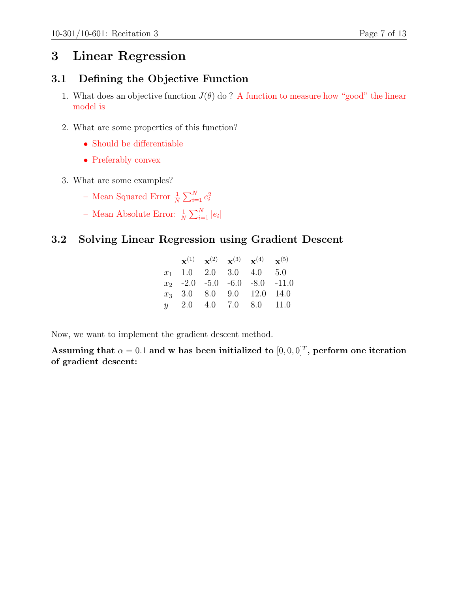## 3 Linear Regression

#### 3.1 Defining the Objective Function

- 1. What does an objective function  $J(\theta)$  do ? A function to measure how "good" the linear model is
- 2. What are some properties of this function?
	- Should be differentiable
	- Preferably convex
- 3. What are some examples?
	- Mean Squared Error  $\frac{1}{N} \sum_{i=1}^{N} e_i^2$
	- Mean Absolute Error:  $\frac{1}{N} \sum_{i=1}^{N} |e_i|$

### 3.2 Solving Linear Regression using Gradient Descent

|  |  | ${\bf x}^{(1)}$ ${\bf x}^{(2)}$ ${\bf x}^{(3)}$ ${\bf x}^{(4)}$ ${\bf x}^{(5)}$ |  |
|--|--|---------------------------------------------------------------------------------|--|
|  |  | $x_1$ 1.0 2.0 3.0 4.0 5.0                                                       |  |
|  |  | $x_2$ -2.0 -5.0 -6.0 -8.0 -11.0                                                 |  |
|  |  | $x_3$ 3.0 8.0 9.0 12.0 14.0                                                     |  |
|  |  | $y = 2.0$ 4.0 7.0 8.0 11.0                                                      |  |

Now, we want to implement the gradient descent method.

Assuming that  $\alpha = 0.1$  and w has been initialized to  $[0, 0, 0]^T$ , perform one iteration of gradient descent: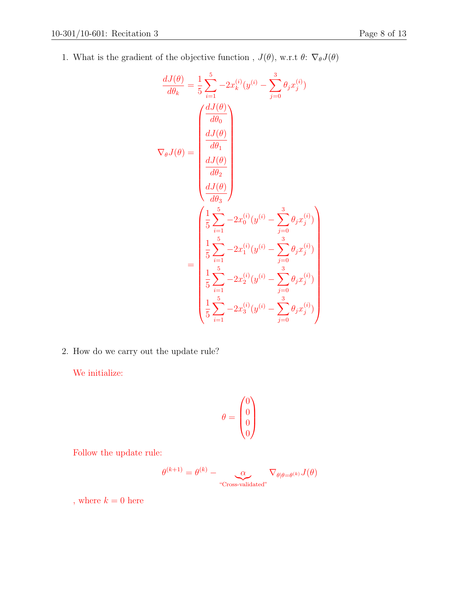1. What is the gradient of the objective function ,  $J(\theta),$  w.r.t  $\theta\colon\,\nabla_{\theta}J(\theta)$ 

$$
\frac{dJ(\theta)}{d\theta_k} = \frac{1}{5} \sum_{i=1}^{5} -2x_k^{(i)}(y^{(i)} - \sum_{j=0}^{3} \theta_j x_j^{(i)})
$$
\n
$$
\nabla_{\theta} J(\theta) = \begin{pmatrix}\n\frac{dJ(\theta)}{d\theta_0} \\
\frac{dJ(\theta)}{d\theta_2} \\
\frac{dJ(\theta)}{d\theta_3}\n\end{pmatrix}
$$
\n
$$
= \begin{pmatrix}\n\frac{1}{5} \sum_{i=1}^{5} -2x_0^{(i)}(y^{(i)} - \sum_{j=0}^{3} \theta_j x_j^{(i)}) \\
\frac{1}{5} \sum_{i=1}^{5} -2x_1^{(i)}(y^{(i)} - \sum_{j=0}^{3} \theta_j x_j^{(i)}) \\
\frac{1}{5} \sum_{i=1}^{5} -2x_2^{(i)}(y^{(i)} - \sum_{j=0}^{3} \theta_j x_j^{(i)}) \\
\frac{1}{5} \sum_{i=1}^{5} -2x_2^{(i)}(y^{(i)} - \sum_{j=0}^{3} \theta_j x_j^{(i)}) \\
\frac{1}{5} \sum_{i=1}^{5} -2x_3^{(i)}(y^{(i)} - \sum_{j=0}^{3} \theta_j x_j^{(i)})\n\end{pmatrix}
$$

2. How do we carry out the update rule?

We initialize:

$$
\theta = \begin{pmatrix} 0 \\ 0 \\ 0 \\ 0 \end{pmatrix}
$$

Follow the update rule:

$$
\theta^{(k+1)} = \theta^{(k)} - \underbrace{\alpha}_{\text{``Cross-validated''}} \nabla_{\theta | \theta = \theta^{(k)}} J(\theta)
$$

, where  $k=0$  here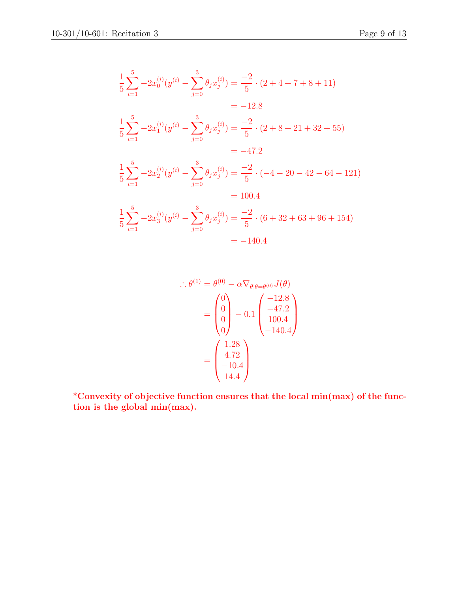$$
\frac{1}{5} \sum_{i=1}^{5} -2x_0^{(i)}(y^{(i)} - \sum_{j=0}^{3} \theta_j x_j^{(i)}) = \frac{-2}{5} \cdot (2 + 4 + 7 + 8 + 11)
$$
  
\n
$$
= -12.8
$$
  
\n
$$
\frac{1}{5} \sum_{i=1}^{5} -2x_1^{(i)}(y^{(i)} - \sum_{j=0}^{3} \theta_j x_j^{(i)}) = \frac{-2}{5} \cdot (2 + 8 + 21 + 32 + 55)
$$
  
\n
$$
= -47.2
$$
  
\n
$$
\frac{1}{5} \sum_{i=1}^{5} -2x_2^{(i)}(y^{(i)} - \sum_{j=0}^{3} \theta_j x_j^{(i)}) = \frac{-2}{5} \cdot (-4 - 20 - 42 - 64 - 121)
$$
  
\n
$$
= 100.4
$$
  
\n
$$
\frac{1}{5} \sum_{i=1}^{5} -2x_3^{(i)}(y^{(i)} - \sum_{j=0}^{3} \theta_j x_j^{(i)}) = \frac{-2}{5} \cdot (6 + 32 + 63 + 96 + 154)
$$
  
\n
$$
= -140.4
$$

$$
\therefore \theta^{(1)} = \theta^{(0)} - \alpha \nabla_{\theta | \theta = \theta^{(0)}} J(\theta)
$$

$$
= \begin{pmatrix} 0 \\ 0 \\ 0 \\ 0 \end{pmatrix} - 0.1 \begin{pmatrix} -12.8 \\ -47.2 \\ 100.4 \\ -140.4 \end{pmatrix}
$$

$$
= \begin{pmatrix} 1.28 \\ 4.72 \\ -10.4 \\ 14.4 \end{pmatrix}
$$

\*Convexity of objective function ensures that the local min(max) of the function is the global min(max).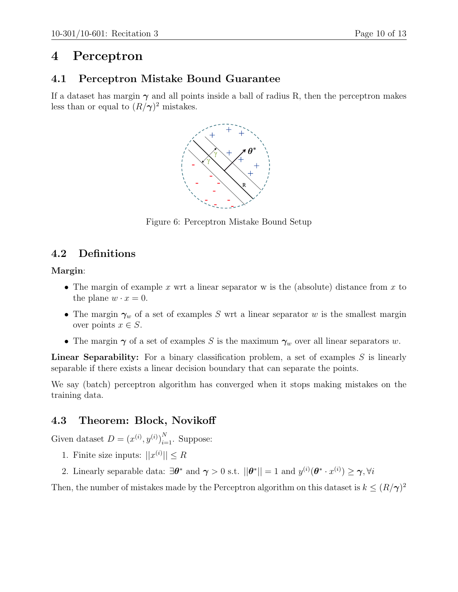## 4 Perceptron

#### 4.1 Perceptron Mistake Bound Guarantee

If a dataset has margin  $\gamma$  and all points inside a ball of radius R, then the perceptron makes less than or equal to  $(R/\gamma)^2$  mistakes.



Figure 6: Perceptron Mistake Bound Setup

### 4.2 Definitions

Margin:

- The margin of example x wrt a linear separator w is the (absolute) distance from x to the plane  $w \cdot x = 0$ .
- The margin  $\gamma_w$  of a set of examples S wrt a linear separator w is the smallest margin over points  $x \in S$ .
- The margin  $\gamma$  of a set of examples S is the maximum  $\gamma_w$  over all linear separators w.

**Linear Separability:** For a binary classification problem, a set of examples  $S$  is linearly separable if there exists a linear decision boundary that can separate the points.

We say (batch) perceptron algorithm has converged when it stops making mistakes on the training data.

### 4.3 Theorem: Block, Novikoff

Given dataset  $D = (x^{(i)}, y^{(i)})_{i=1}^N$ . Suppose:

- 1. Finite size inputs:  $||x^{(i)}|| \leq R$
- 2. Linearly separable data:  $\exists \theta^*$  and  $\gamma > 0$  s.t.  $||\theta^*|| = 1$  and  $y^{(i)}(\theta^* \cdot x^{(i)}) \ge \gamma, \forall i$

Then, the number of mistakes made by the Perceptron algorithm on this dataset is  $k \leq (R/\gamma)^2$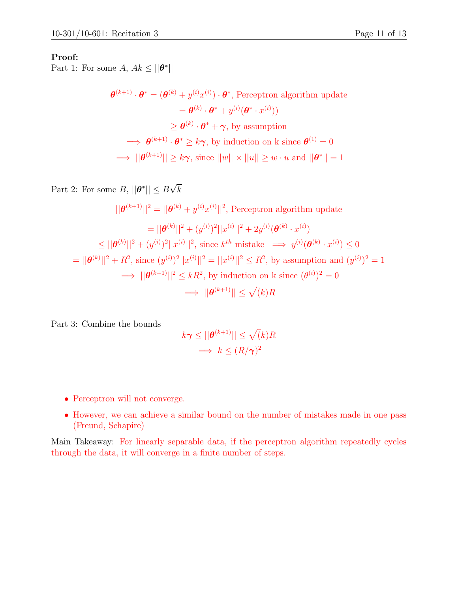#### Proof:

Part 1: For some A,  $Ak \le ||\boldsymbol{\theta}^*||$ 

 $\boldsymbol{\theta}^{(k+1)} \cdot \boldsymbol{\theta}^* = (\boldsymbol{\theta}^{(k)} + y^{(i)}x^{(i)}) \cdot \boldsymbol{\theta}^*$ , Perceptron algorithm update  $\bm{e} = \bm{\theta}^{(k)} \cdot \bm{\theta}^* + y^{(i)} (\bm{\theta}^* \cdot x^{(i)}))$  $\geq \boldsymbol{\theta}^{(k)} \cdot \boldsymbol{\theta}^* + \boldsymbol{\gamma}$ , by assumption  $\implies \theta^{(k+1)} \cdot \theta^* \geq k\gamma$ , by induction on k since  $\theta^{(1)} = 0$  $\Rightarrow ||\boldsymbol{\theta}^{(k+1)}|| \geq k\boldsymbol{\gamma}, \text{ since } ||w|| \times ||u|| \geq w \cdot u \text{ and } ||\boldsymbol{\theta}^*|| = 1$ 

Part 2: For some  $B, ||\boldsymbol{\theta}^*|| \leq B$ √ k

$$
||\boldsymbol{\theta}^{(k+1)}||^2 = ||\boldsymbol{\theta}^{(k)} + y^{(i)}x^{(i)}||^2, \text{ Perceptron algorithm update}
$$
  
\n
$$
= ||\boldsymbol{\theta}^{(k)}||^2 + (y^{(i)})^2||x^{(i)}||^2 + 2y^{(i)}(\boldsymbol{\theta}^{(k)} \cdot x^{(i)})
$$
  
\n
$$
\leq ||\boldsymbol{\theta}^{(k)}||^2 + (y^{(i)})^2||x^{(i)}||^2, \text{ since } k^{th} \text{ mistake } \implies y^{(i)}(\boldsymbol{\theta}^{(k)} \cdot x^{(i)}) \leq 0
$$
  
\n
$$
= ||\boldsymbol{\theta}^{(k)}||^2 + R^2, \text{ since } (y^{(i)})^2||x^{(i)}||^2 = ||x^{(i)}||^2 \leq R^2, \text{ by assumption and } (y^{(i)})^2 = 1
$$
  
\n
$$
\implies ||\boldsymbol{\theta}^{(k+1)}||^2 \leq kR^2, \text{ by induction on k since } (\theta^{(i)})^2 = 0
$$
  
\n
$$
\implies ||\boldsymbol{\theta}^{(k+1)}|| \leq \sqrt{k}R
$$

Part 3: Combine the bounds

$$
k\gamma \le ||\boldsymbol{\theta}^{(k+1)}|| \le \sqrt(k)R
$$
  

$$
\implies k \le (R/\gamma)^2
$$

- Perceptron will not converge.
- However, we can achieve a similar bound on the number of mistakes made in one pass (Freund, Schapire)

Main Takeaway: For linearly separable data, if the perceptron algorithm repeatedly cycles through the data, it will converge in a finite number of steps.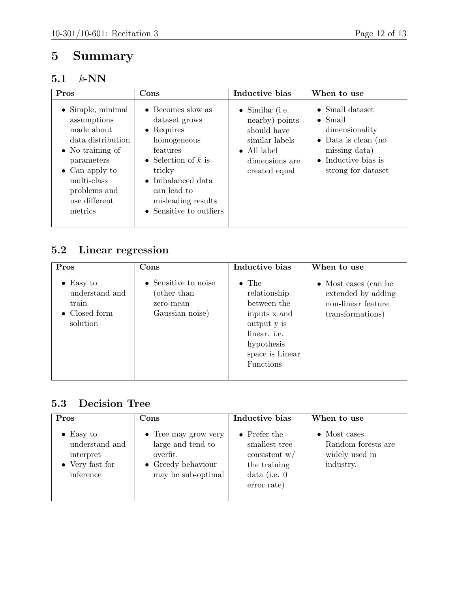# 5 Summary

## 5.1 k-NN

| Pros                                                                                                                                                                                                       | Cons                                                                                                                                                                                                                        | Inductive bias                                                                                                                       | When to use                                                                                                                                                       |  |
|------------------------------------------------------------------------------------------------------------------------------------------------------------------------------------------------------------|-----------------------------------------------------------------------------------------------------------------------------------------------------------------------------------------------------------------------------|--------------------------------------------------------------------------------------------------------------------------------------|-------------------------------------------------------------------------------------------------------------------------------------------------------------------|--|
| $\bullet$ Simple, minimal<br>assumptions<br>made about<br>data distribution<br>$\bullet$ No training of<br>parameters<br>$\bullet$ Can apply to<br>multi-class<br>problems and<br>use different<br>metrics | $\bullet$ Becomes slow as<br>dataset grows<br>$\bullet$ Requires<br>homogeneous<br>features<br>• Selection of $k$ is<br>tricky<br>$\bullet$ Imbalanced data<br>can lead to<br>misleading results<br>• Sensitive to outliers | $\bullet$ Similar (i.e.<br>nearby) points<br>should have<br>similar labels<br>$\bullet$ All label<br>dimensions are<br>created equal | $\bullet$ Small dataset<br>$\bullet$ Small<br>dimensionality<br>$\bullet$ Data is clean (no<br>missing data)<br>$\bullet$ Inductive bias is<br>strong for dataset |  |

## 5.2 Linear regression

| Pros                                                                      | $\bf Cons$                                                          | Inductive bias                                                                                                                                   | When to use                                                                                  |
|---------------------------------------------------------------------------|---------------------------------------------------------------------|--------------------------------------------------------------------------------------------------------------------------------------------------|----------------------------------------------------------------------------------------------|
| $\bullet$ Easy to<br>understand and<br>train<br>• Closed form<br>solution | • Sensitive to noise<br>(other than<br>zero-mean<br>Gaussian noise) | $\bullet$ The<br>relationship<br>between the<br>inputs x and<br>output y is<br>linear. <i>i.e.</i><br>hypothesis<br>space is Linear<br>Functions | $\bullet$ Most cases (can be<br>extended by adding<br>non-linear feature<br>transformations) |

### 5.3 Decision Tree

| Pros                                                                             | Cons                                                                                                              | Inductive bias                                                                                            | When to use                                                                |
|----------------------------------------------------------------------------------|-------------------------------------------------------------------------------------------------------------------|-----------------------------------------------------------------------------------------------------------|----------------------------------------------------------------------------|
| $\bullet$ Easy to<br>understand and<br>interpret<br>• Very fast for<br>inference | $\bullet$ Tree may grow very<br>large and tend to<br>overfit.<br>$\bullet$ Greedy behaviour<br>may be sub-optimal | $\bullet$ Prefer the<br>smallest tree<br>consistent $w/$<br>the training<br>data (i.e. $0$<br>error rate) | $\bullet$ Most cases.<br>Random forests are<br>widely used in<br>industry. |